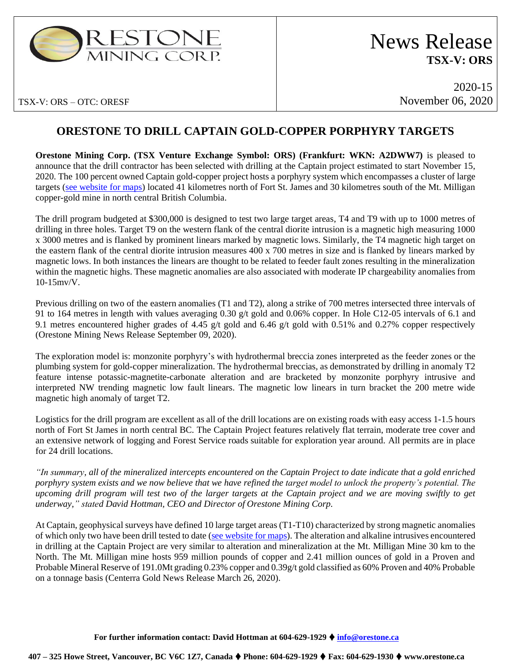

# News Release **TSX-V: ORS**

TSX-V: ORS – OTC: ORESF

2020-15 November 06, 2020

## **ORESTONE TO DRILL CAPTAIN GOLD-COPPER PORPHYRY TARGETS**

**Orestone Mining Corp. (TSX Venture Exchange Symbol: ORS) (Frankfurt: WKN: A2DWW7)** is pleased to announce that the drill contractor has been selected with drilling at the Captain project estimated to start November 15, 2020. The 100 percent owned Captain gold-copper project hosts a porphyry system which encompasses a cluster of large targets [\(see website for maps\)](https://www.orestone.ca/projects/captain-property/) located 41 kilometres north of Fort St. James and 30 kilometres south of the Mt. Milligan copper-gold mine in north central British Columbia.

The drill program budgeted at \$300,000 is designed to test two large target areas, T4 and T9 with up to 1000 metres of drilling in three holes. Target T9 on the western flank of the central diorite intrusion is a magnetic high measuring 1000 x 3000 metres and is flanked by prominent linears marked by magnetic lows. Similarly, the T4 magnetic high target on the eastern flank of the central diorite intrusion measures 400 x 700 metres in size and is flanked by linears marked by magnetic lows. In both instances the linears are thought to be related to feeder fault zones resulting in the mineralization within the magnetic highs. These magnetic anomalies are also associated with moderate IP chargeability anomalies from 10-15mv/V.

Previous drilling on two of the eastern anomalies (T1 and T2), along a strike of 700 metres intersected three intervals of 91 to 164 metres in length with values averaging 0.30 g/t gold and 0.06% copper. In Hole C12-05 intervals of 6.1 and 9.1 metres encountered higher grades of 4.45 g/t gold and 6.46 g/t gold with 0.51% and 0.27% copper respectively (Orestone Mining News Release September 09, 2020).

The exploration model is: monzonite porphyry's with hydrothermal breccia zones interpreted as the feeder zones or the plumbing system for gold-copper mineralization. The hydrothermal breccias, as demonstrated by drilling in anomaly T2 feature intense potassic-magnetite-carbonate alteration and are bracketed by monzonite porphyry intrusive and interpreted NW trending magnetic low fault linears. The magnetic low linears in turn bracket the 200 metre wide magnetic high anomaly of target T2.

Logistics for the drill program are excellent as all of the drill locations are on existing roads with easy access 1-1.5 hours north of Fort St James in north central BC. The Captain Project features relatively flat terrain, moderate tree cover and an extensive network of logging and Forest Service roads suitable for exploration year around. All permits are in place for 24 drill locations.

*"In summary, all of the mineralized intercepts encountered on the Captain Project to date indicate that a gold enriched porphyry system exists and we now believe that we have refined the target model to unlock the property's potential. The upcoming drill program will test two of the larger targets at the Captain project and we are moving swiftly to get underway," stated David Hottman, CEO and Director of Orestone Mining Corp.*

At Captain, geophysical surveys have defined 10 large target areas (T1-T10) characterized by strong magnetic anomalies of which only two have been drill tested to date [\(see website for maps\)](https://www.orestone.ca/projects/captain-property/). The alteration and alkaline intrusives encountered in drilling at the Captain Project are very similar to alteration and mineralization at the Mt. Milligan Mine 30 km to the North. The Mt. Milligan mine hosts 959 million pounds of copper and 2.41 million ounces of gold in a Proven and Probable Mineral Reserve of 191.0Mt grading 0.23% copper and 0.39g/t gold classified as 60% Proven and 40% Probable on a tonnage basis (Centerra Gold News Release March 26, 2020).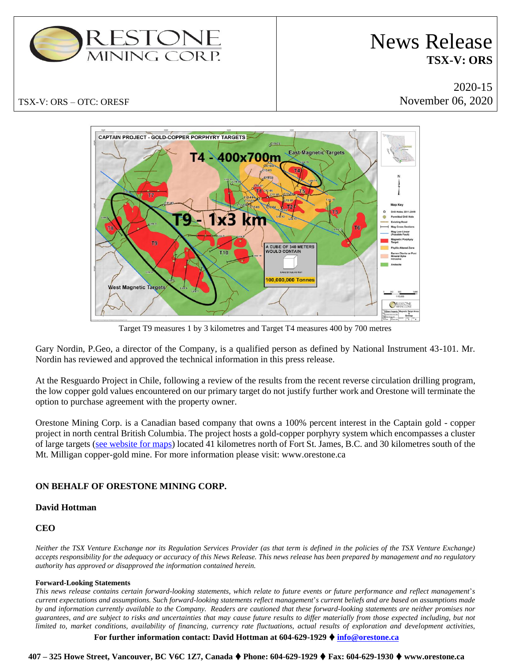

# News Release **TSX-V: ORS**

2020-15 November 06, 2020



Target T9 measures 1 by 3 kilometres and Target T4 measures 400 by 700 metres

Gary Nordin, P.Geo, a director of the Company, is a qualified person as defined by National Instrument 43-101. Mr. Nordin has reviewed and approved the technical information in this press release.

At the Resguardo Project in Chile, following a review of the results from the recent reverse circulation drilling program, the low copper gold values encountered on our primary target do not justify further work and Orestone will terminate the option to purchase agreement with the property owner.

Orestone Mining Corp. is a Canadian based company that owns a 100% percent interest in the Captain gold - copper project in north central British Columbia. The project hosts a gold-copper porphyry system which encompasses a cluster of large targets [\(see website for maps\)](https://www.orestone.ca/projects/captain-property/) located 41 kilometres north of Fort St. James, B.C. and 30 kilometres south of the Mt. Milligan copper-gold mine. For more information please visit: www.orestone.ca

### **ON BEHALF OF ORESTONE MINING CORP.**

### **David Hottman**

### **CEO**

*Neither the TSX Venture Exchange nor its Regulation Services Provider (as that term is defined in the policies of the TSX Venture Exchange) accepts responsibility for the adequacy or accuracy of this News Release. This news release has been prepared by management and no regulatory authority has approved or disapproved the information contained herein.*

#### **Forward-Looking Statements**

*This news release contains certain forward-looking statements, which relate to future events or future performance and reflect management*'*s current expectations and assumptions. Such forward-looking statements reflect management*'*s current beliefs and are based on assumptions made by and information currently available to the Company. Readers are cautioned that these forward-looking statements are neither promises nor guarantees, and are subject to risks and uncertainties that may cause future results to differ materially from those expected including, but not limited to, market conditions, availability of financing, currency rate fluctuations, actual results of exploration and development activities,* 

#### **For further information contact: David Hottman at 604-629-1929 [info@orestone.ca](mailto:info@orestone.ca)**

**407 – 325 Howe Street, Vancouver, BC V6C 1Z7, Canada Phone: 604-629-1929 Fax: 604-629-1930 www.orestone.ca**